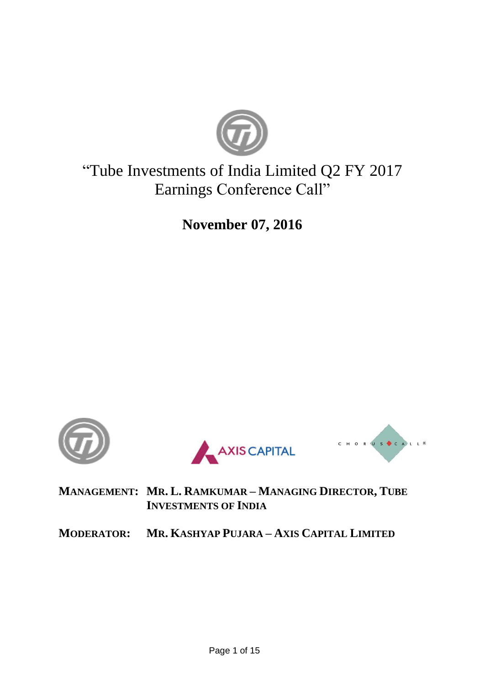

# "Tube Investments of India Limited Q2 FY 2017 Earnings Conference Call"

**November 07, 2016**







**MANAGEMENT: MR. L. RAMKUMAR – MANAGING DIRECTOR, TUBE INVESTMENTS OF INDIA**

**MODERATOR: MR. KASHYAP PUJARA – AXIS CAPITAL LIMITED**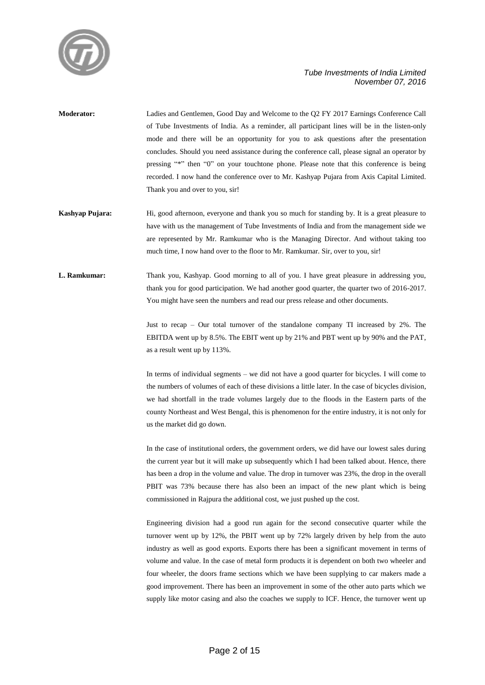

- **Moderator:** Ladies and Gentlemen, Good Day and Welcome to the Q2 FY 2017 Earnings Conference Call of Tube Investments of India. As a reminder, all participant lines will be in the listen-only mode and there will be an opportunity for you to ask questions after the presentation concludes. Should you need assistance during the conference call, please signal an operator by pressing "\*" then "0" on your touchtone phone. Please note that this conference is being recorded. I now hand the conference over to Mr. Kashyap Pujara from Axis Capital Limited. Thank you and over to you, sir!
- **Kashyap Pujara:** Hi, good afternoon, everyone and thank you so much for standing by. It is a great pleasure to have with us the management of Tube Investments of India and from the management side we are represented by Mr. Ramkumar who is the Managing Director. And without taking too much time, I now hand over to the floor to Mr. Ramkumar. Sir, over to you, sir!
- **L. Ramkumar:** Thank you, Kashyap. Good morning to all of you. I have great pleasure in addressing you, thank you for good participation. We had another good quarter, the quarter two of 2016-2017. You might have seen the numbers and read our press release and other documents.

Just to recap – Our total turnover of the standalone company TI increased by 2%. The EBITDA went up by 8.5%. The EBIT went up by 21% and PBT went up by 90% and the PAT, as a result went up by 113%.

In terms of individual segments – we did not have a good quarter for bicycles. I will come to the numbers of volumes of each of these divisions a little later. In the case of bicycles division, we had shortfall in the trade volumes largely due to the floods in the Eastern parts of the county Northeast and West Bengal, this is phenomenon for the entire industry, it is not only for us the market did go down.

In the case of institutional orders, the government orders, we did have our lowest sales during the current year but it will make up subsequently which I had been talked about. Hence, there has been a drop in the volume and value. The drop in turnover was 23%, the drop in the overall PBIT was 73% because there has also been an impact of the new plant which is being commissioned in Rajpura the additional cost, we just pushed up the cost.

Engineering division had a good run again for the second consecutive quarter while the turnover went up by 12%, the PBIT went up by 72% largely driven by help from the auto industry as well as good exports. Exports there has been a significant movement in terms of volume and value. In the case of metal form products it is dependent on both two wheeler and four wheeler, the doors frame sections which we have been supplying to car makers made a good improvement. There has been an improvement in some of the other auto parts which we supply like motor casing and also the coaches we supply to ICF. Hence, the turnover went up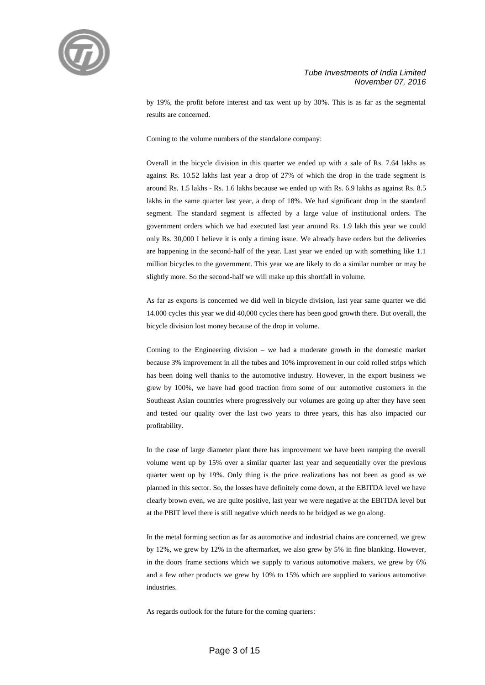

by 19%, the profit before interest and tax went up by 30%. This is as far as the segmental results are concerned.

Coming to the volume numbers of the standalone company:

Overall in the bicycle division in this quarter we ended up with a sale of Rs. 7.64 lakhs as against Rs. 10.52 lakhs last year a drop of 27% of which the drop in the trade segment is around Rs. 1.5 lakhs - Rs. 1.6 lakhs because we ended up with Rs. 6.9 lakhs as against Rs. 8.5 lakhs in the same quarter last year, a drop of 18%. We had significant drop in the standard segment. The standard segment is affected by a large value of institutional orders. The government orders which we had executed last year around Rs. 1.9 lakh this year we could only Rs. 30,000 I believe it is only a timing issue. We already have orders but the deliveries are happening in the second-half of the year. Last year we ended up with something like 1.1 million bicycles to the government. This year we are likely to do a similar number or may be slightly more. So the second-half we will make up this shortfall in volume.

As far as exports is concerned we did well in bicycle division, last year same quarter we did 14.000 cycles this year we did 40,000 cycles there has been good growth there. But overall, the bicycle division lost money because of the drop in volume.

Coming to the Engineering division – we had a moderate growth in the domestic market because 3% improvement in all the tubes and 10% improvement in our cold rolled strips which has been doing well thanks to the automotive industry. However, in the export business we grew by 100%, we have had good traction from some of our automotive customers in the Southeast Asian countries where progressively our volumes are going up after they have seen and tested our quality over the last two years to three years, this has also impacted our profitability.

In the case of large diameter plant there has improvement we have been ramping the overall volume went up by 15% over a similar quarter last year and sequentially over the previous quarter went up by 19%. Only thing is the price realizations has not been as good as we planned in this sector. So, the losses have definitely come down, at the EBITDA level we have clearly brown even, we are quite positive, last year we were negative at the EBITDA level but at the PBIT level there is still negative which needs to be bridged as we go along.

In the metal forming section as far as automotive and industrial chains are concerned, we grew by 12%, we grew by 12% in the aftermarket, we also grew by 5% in fine blanking. However, in the doors frame sections which we supply to various automotive makers, we grew by 6% and a few other products we grew by 10% to 15% which are supplied to various automotive industries.

As regards outlook for the future for the coming quarters: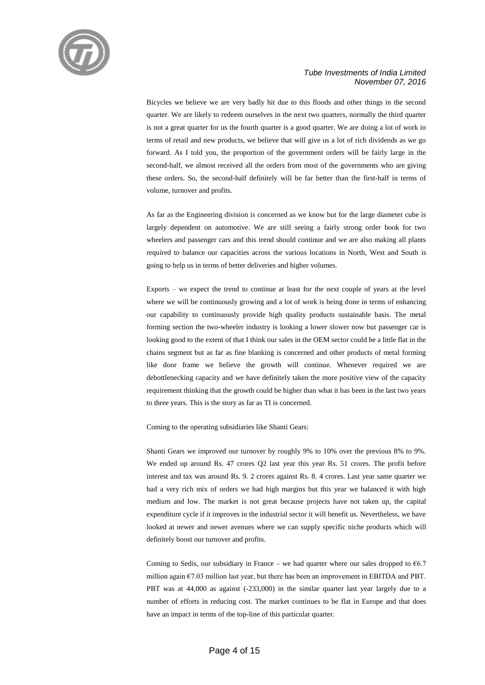

Bicycles we believe we are very badly hit due to this floods and other things in the second quarter. We are likely to redeem ourselves in the next two quarters, normally the third quarter is not a great quarter for us the fourth quarter is a good quarter. We are doing a lot of work in terms of retail and new products, we believe that will give us a lot of rich dividends as we go forward. As I told you, the proportion of the government orders will be fairly large in the second-half, we almost received all the orders from most of the governments who are giving these orders. So, the second-half definitely will be far better than the first-half in terms of volume, turnover and profits.

As far as the Engineering division is concerned as we know but for the large diameter cube is largely dependent on automotive. We are still seeing a fairly strong order book for two wheelers and passenger cars and this trend should continue and we are also making all plants required to balance our capacities across the various locations in North, West and South is going to help us in terms of better deliveries and higher volumes.

Exports – we expect the trend to continue at least for the next couple of years at the level where we will be continuously growing and a lot of work is being done in terms of enhancing our capability to continuously provide high quality products sustainable basis. The metal forming section the two-wheeler industry is looking a lower slower now but passenger car is looking good to the extent of that I think our sales in the OEM sector could be a little flat in the chains segment but as far as fine blanking is concerned and other products of metal forming like door frame we believe the growth will continue. Whenever required we are debottlenecking capacity and we have definitely taken the more positive view of the capacity requirement thinking that the growth could be higher than what it has been in the last two years to three years. This is the story as far as TI is concerned.

Coming to the operating subsidiaries like Shanti Gears:

Shanti Gears we improved our turnover by roughly 9% to 10% over the previous 8% to 9%. We ended up around Rs. 47 crores Q2 last year this year Rs. 51 crores. The profit before interest and tax was around Rs. 9. 2 crores against Rs. 8. 4 crores. Last year same quarter we had a very rich mix of orders we had high margins but this year we balanced it with high medium and low. The market is not great because projects have not taken up, the capital expenditure cycle if it improves in the industrial sector it will benefit us. Nevertheless, we have looked at newer and newer avenues where we can supply specific niche products which will definitely boost our turnover and profits.

Coming to Sedis, our subsidiary in France – we had quarter where our sales dropped to  $66.7$ million again  $67.03$  million last year, but there has been an improvement in EBITDA and PBT. PBT was at 44,000 as against (-233,000) in the similar quarter last year largely due to a number of efforts in reducing cost. The market continues to be flat in Europe and that does have an impact in terms of the top-line of this particular quarter.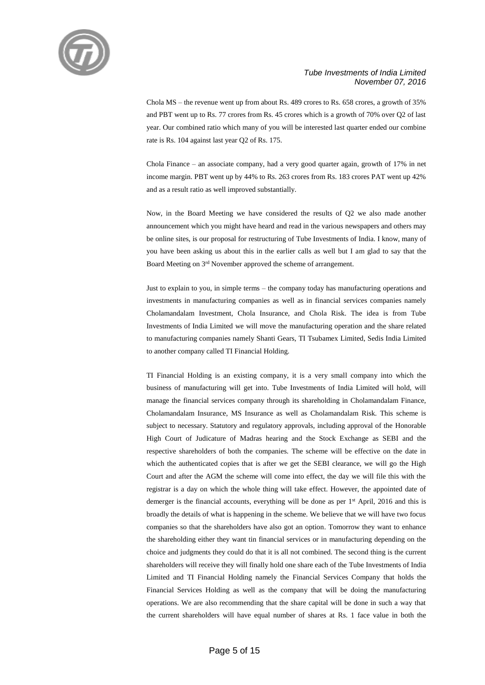

Chola MS – the revenue went up from about Rs. 489 crores to Rs. 658 crores, a growth of 35% and PBT went up to Rs. 77 crores from Rs. 45 crores which is a growth of 70% over Q2 of last year. Our combined ratio which many of you will be interested last quarter ended our combine rate is Rs. 104 against last year Q2 of Rs. 175.

Chola Finance – an associate company, had a very good quarter again, growth of 17% in net income margin. PBT went up by 44% to Rs. 263 crores from Rs. 183 crores PAT went up 42% and as a result ratio as well improved substantially.

Now, in the Board Meeting we have considered the results of Q2 we also made another announcement which you might have heard and read in the various newspapers and others may be online sites, is our proposal for restructuring of Tube Investments of India. I know, many of you have been asking us about this in the earlier calls as well but I am glad to say that the Board Meeting on 3rd November approved the scheme of arrangement.

Just to explain to you, in simple terms – the company today has manufacturing operations and investments in manufacturing companies as well as in financial services companies namely Cholamandalam Investment, Chola Insurance, and Chola Risk. The idea is from Tube Investments of India Limited we will move the manufacturing operation and the share related to manufacturing companies namely Shanti Gears, TI Tsubamex Limited, Sedis India Limited to another company called TI Financial Holding.

TI Financial Holding is an existing company, it is a very small company into which the business of manufacturing will get into. Tube Investments of India Limited will hold, will manage the financial services company through its shareholding in Cholamandalam Finance, Cholamandalam Insurance, MS Insurance as well as Cholamandalam Risk. This scheme is subject to necessary. Statutory and regulatory approvals, including approval of the Honorable High Court of Judicature of Madras hearing and the Stock Exchange as SEBI and the respective shareholders of both the companies. The scheme will be effective on the date in which the authenticated copies that is after we get the SEBI clearance, we will go the High Court and after the AGM the scheme will come into effect, the day we will file this with the registrar is a day on which the whole thing will take effect. However, the appointed date of demerger is the financial accounts, everything will be done as per 1<sup>st</sup> April, 2016 and this is broadly the details of what is happening in the scheme. We believe that we will have two focus companies so that the shareholders have also got an option. Tomorrow they want to enhance the shareholding either they want tin financial services or in manufacturing depending on the choice and judgments they could do that it is all not combined. The second thing is the current shareholders will receive they will finally hold one share each of the Tube Investments of India Limited and TI Financial Holding namely the Financial Services Company that holds the Financial Services Holding as well as the company that will be doing the manufacturing operations. We are also recommending that the share capital will be done in such a way that the current shareholders will have equal number of shares at Rs. 1 face value in both the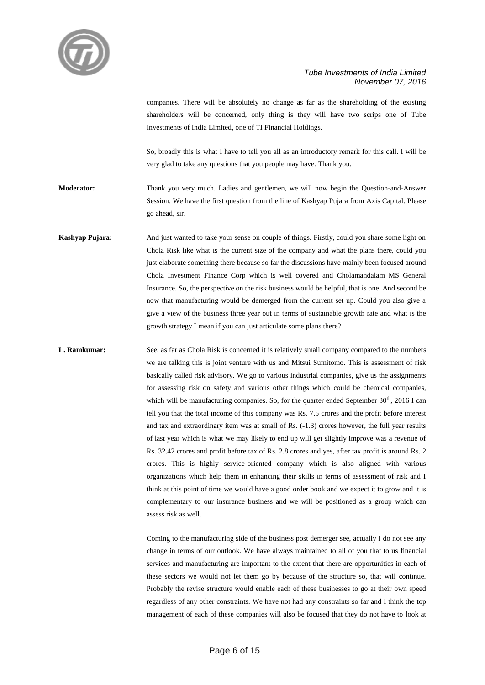

companies. There will be absolutely no change as far as the shareholding of the existing shareholders will be concerned, only thing is they will have two scrips one of Tube Investments of India Limited, one of TI Financial Holdings.

So, broadly this is what I have to tell you all as an introductory remark for this call. I will be very glad to take any questions that you people may have. Thank you.

**Moderator:** Thank you very much. Ladies and gentlemen, we will now begin the Question-and-Answer Session. We have the first question from the line of Kashyap Pujara from Axis Capital. Please go ahead, sir.

**Kashyap Pujara:** And just wanted to take your sense on couple of things. Firstly, could you share some light on Chola Risk like what is the current size of the company and what the plans there, could you just elaborate something there because so far the discussions have mainly been focused around Chola Investment Finance Corp which is well covered and Cholamandalam MS General Insurance. So, the perspective on the risk business would be helpful, that is one. And second be now that manufacturing would be demerged from the current set up. Could you also give a give a view of the business three year out in terms of sustainable growth rate and what is the growth strategy I mean if you can just articulate some plans there?

**L. Ramkumar:** See, as far as Chola Risk is concerned it is relatively small company compared to the numbers we are talking this is joint venture with us and Mitsui Sumitomo. This is assessment of risk basically called risk advisory. We go to various industrial companies, give us the assignments for assessing risk on safety and various other things which could be chemical companies, which will be manufacturing companies. So, for the quarter ended September 30<sup>th</sup>, 2016 I can tell you that the total income of this company was Rs. 7.5 crores and the profit before interest and tax and extraordinary item was at small of Rs. (-1.3) crores however, the full year results of last year which is what we may likely to end up will get slightly improve was a revenue of Rs. 32.42 crores and profit before tax of Rs. 2.8 crores and yes, after tax profit is around Rs. 2 crores. This is highly service-oriented company which is also aligned with various organizations which help them in enhancing their skills in terms of assessment of risk and I think at this point of time we would have a good order book and we expect it to grow and it is complementary to our insurance business and we will be positioned as a group which can assess risk as well.

> Coming to the manufacturing side of the business post demerger see, actually I do not see any change in terms of our outlook. We have always maintained to all of you that to us financial services and manufacturing are important to the extent that there are opportunities in each of these sectors we would not let them go by because of the structure so, that will continue. Probably the revise structure would enable each of these businesses to go at their own speed regardless of any other constraints. We have not had any constraints so far and I think the top management of each of these companies will also be focused that they do not have to look at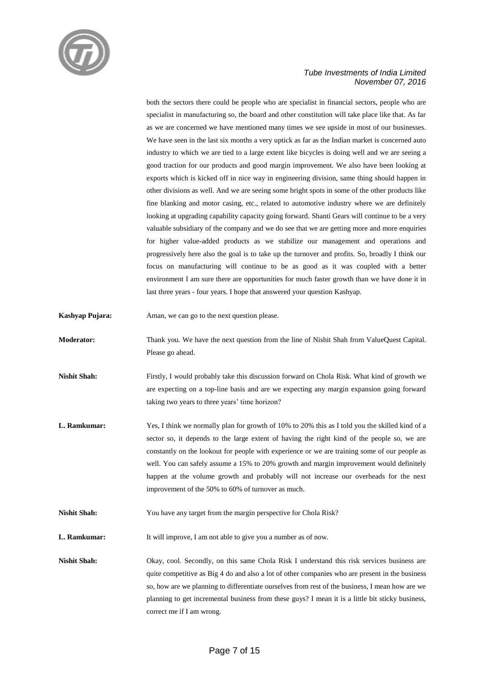

both the sectors there could be people who are specialist in financial sectors, people who are specialist in manufacturing so, the board and other constitution will take place like that. As far as we are concerned we have mentioned many times we see upside in most of our businesses. We have seen in the last six months a very uptick as far as the Indian market is concerned auto industry to which we are tied to a large extent like bicycles is doing well and we are seeing a good traction for our products and good margin improvement. We also have been looking at exports which is kicked off in nice way in engineering division, same thing should happen in other divisions as well. And we are seeing some bright spots in some of the other products like fine blanking and motor casing, etc., related to automotive industry where we are definitely looking at upgrading capability capacity going forward. Shanti Gears will continue to be a very valuable subsidiary of the company and we do see that we are getting more and more enquiries for higher value-added products as we stabilize our management and operations and progressively here also the goal is to take up the turnover and profits. So, broadly I think our focus on manufacturing will continue to be as good as it was coupled with a better environment I am sure there are opportunities for much faster growth than we have done it in last three years - four years. I hope that answered your question Kashyap.

- **Kashyap Pujara:** Aman, we can go to the next question please.
- **Moderator:** Thank you. We have the next question from the line of Nishit Shah from ValueQuest Capital. Please go ahead.
- **Nishit Shah:** Firstly, I would probably take this discussion forward on Chola Risk. What kind of growth we are expecting on a top-line basis and are we expecting any margin expansion going forward taking two years to three years' time horizon?
- **L. Ramkumar:** Yes, I think we normally plan for growth of 10% to 20% this as I told you the skilled kind of a sector so, it depends to the large extent of having the right kind of the people so, we are constantly on the lookout for people with experience or we are training some of our people as well. You can safely assume a 15% to 20% growth and margin improvement would definitely happen at the volume growth and probably will not increase our overheads for the next improvement of the 50% to 60% of turnover as much.
- **Nishit Shah:** You have any target from the margin perspective for Chola Risk?
- **L. Ramkumar:** It will improve, I am not able to give you a number as of now.

Nishit Shah: Okay, cool. Secondly, on this same Chola Risk I understand this risk services business are quite competitive as Big 4 do and also a lot of other companies who are present in the business so, how are we planning to differentiate ourselves from rest of the business, I mean how are we planning to get incremental business from these guys? I mean it is a little bit sticky business, correct me if I am wrong.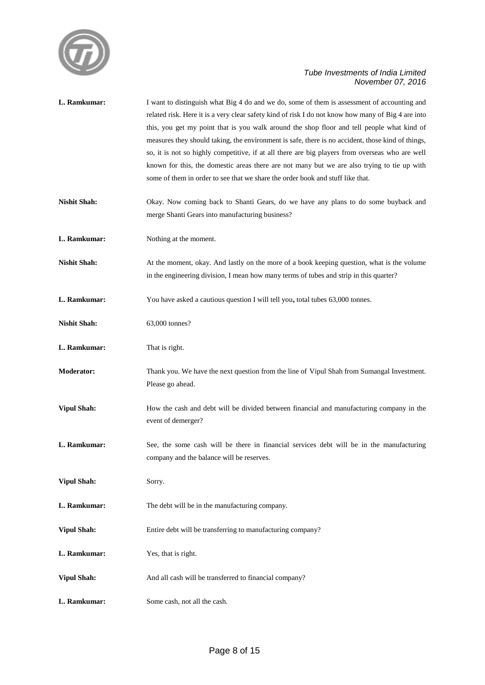

| L. Ramkumar:        | I want to distinguish what Big 4 do and we do, some of them is assessment of accounting and<br>related risk. Here it is a very clear safety kind of risk I do not know how many of Big 4 are into<br>this, you get my point that is you walk around the shop floor and tell people what kind of<br>measures they should taking, the environment is safe, there is no accident, those kind of things,<br>so, it is not so highly competitive, if at all there are big players from overseas who are well<br>known for this, the domestic areas there are not many but we are also trying to tie up with<br>some of them in order to see that we share the order book and stuff like that. |
|---------------------|------------------------------------------------------------------------------------------------------------------------------------------------------------------------------------------------------------------------------------------------------------------------------------------------------------------------------------------------------------------------------------------------------------------------------------------------------------------------------------------------------------------------------------------------------------------------------------------------------------------------------------------------------------------------------------------|
| <b>Nishit Shah:</b> | Okay. Now coming back to Shanti Gears, do we have any plans to do some buyback and<br>merge Shanti Gears into manufacturing business?                                                                                                                                                                                                                                                                                                                                                                                                                                                                                                                                                    |
| L. Ramkumar:        | Nothing at the moment.                                                                                                                                                                                                                                                                                                                                                                                                                                                                                                                                                                                                                                                                   |
| <b>Nishit Shah:</b> | At the moment, okay. And lastly on the more of a book keeping question, what is the volume<br>in the engineering division, I mean how many terms of tubes and strip in this quarter?                                                                                                                                                                                                                                                                                                                                                                                                                                                                                                     |
| L. Ramkumar:        | You have asked a cautious question I will tell you, total tubes 63,000 tonnes.                                                                                                                                                                                                                                                                                                                                                                                                                                                                                                                                                                                                           |
| <b>Nishit Shah:</b> | 63,000 tonnes?                                                                                                                                                                                                                                                                                                                                                                                                                                                                                                                                                                                                                                                                           |
| L. Ramkumar:        | That is right.                                                                                                                                                                                                                                                                                                                                                                                                                                                                                                                                                                                                                                                                           |
| <b>Moderator:</b>   | Thank you. We have the next question from the line of Vipul Shah from Sumangal Investment.<br>Please go ahead.                                                                                                                                                                                                                                                                                                                                                                                                                                                                                                                                                                           |
| <b>Vipul Shah:</b>  | How the cash and debt will be divided between financial and manufacturing company in the<br>event of demerger?                                                                                                                                                                                                                                                                                                                                                                                                                                                                                                                                                                           |
| L. Ramkumar:        | See, the some cash will be there in financial services debt will be in the manufacturing<br>company and the balance will be reserves.                                                                                                                                                                                                                                                                                                                                                                                                                                                                                                                                                    |
| <b>Vipul Shah:</b>  | Sorry.                                                                                                                                                                                                                                                                                                                                                                                                                                                                                                                                                                                                                                                                                   |
| L. Ramkumar:        | The debt will be in the manufacturing company.                                                                                                                                                                                                                                                                                                                                                                                                                                                                                                                                                                                                                                           |
| <b>Vipul Shah:</b>  | Entire debt will be transferring to manufacturing company?                                                                                                                                                                                                                                                                                                                                                                                                                                                                                                                                                                                                                               |
| L. Ramkumar:        | Yes, that is right.                                                                                                                                                                                                                                                                                                                                                                                                                                                                                                                                                                                                                                                                      |
| <b>Vipul Shah:</b>  | And all cash will be transferred to financial company?                                                                                                                                                                                                                                                                                                                                                                                                                                                                                                                                                                                                                                   |
| L. Ramkumar:        | Some cash, not all the cash.                                                                                                                                                                                                                                                                                                                                                                                                                                                                                                                                                                                                                                                             |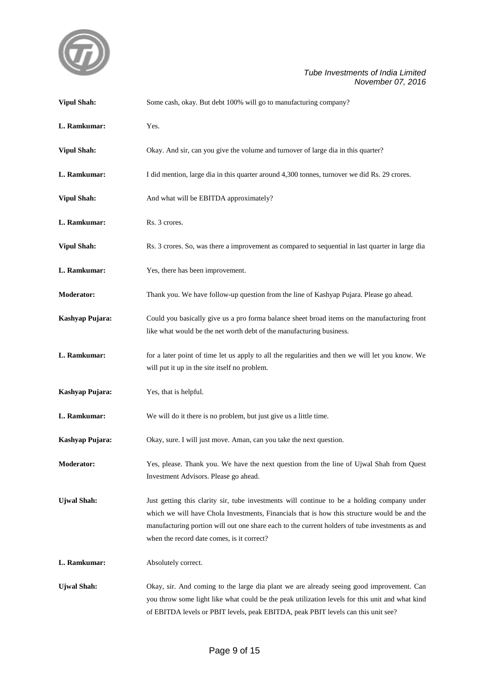

| <b>Vipul Shah:</b> | Some cash, okay. But debt 100% will go to manufacturing company?                                                                                                                                                                                                                                                                             |
|--------------------|----------------------------------------------------------------------------------------------------------------------------------------------------------------------------------------------------------------------------------------------------------------------------------------------------------------------------------------------|
| L. Ramkumar:       | Yes.                                                                                                                                                                                                                                                                                                                                         |
| <b>Vipul Shah:</b> | Okay. And sir, can you give the volume and turnover of large dia in this quarter?                                                                                                                                                                                                                                                            |
| L. Ramkumar:       | I did mention, large dia in this quarter around 4,300 tonnes, turnover we did Rs. 29 crores.                                                                                                                                                                                                                                                 |
| <b>Vipul Shah:</b> | And what will be EBITDA approximately?                                                                                                                                                                                                                                                                                                       |
| L. Ramkumar:       | Rs. 3 crores.                                                                                                                                                                                                                                                                                                                                |
| <b>Vipul Shah:</b> | Rs. 3 crores. So, was there a improvement as compared to sequential in last quarter in large dia                                                                                                                                                                                                                                             |
| L. Ramkumar:       | Yes, there has been improvement.                                                                                                                                                                                                                                                                                                             |
| <b>Moderator:</b>  | Thank you. We have follow-up question from the line of Kashyap Pujara. Please go ahead.                                                                                                                                                                                                                                                      |
| Kashyap Pujara:    | Could you basically give us a pro forma balance sheet broad items on the manufacturing front<br>like what would be the net worth debt of the manufacturing business.                                                                                                                                                                         |
| L. Ramkumar:       | for a later point of time let us apply to all the regularities and then we will let you know. We<br>will put it up in the site itself no problem.                                                                                                                                                                                            |
| Kashyap Pujara:    | Yes, that is helpful.                                                                                                                                                                                                                                                                                                                        |
| L. Ramkumar:       | We will do it there is no problem, but just give us a little time.                                                                                                                                                                                                                                                                           |
| Kashyap Pujara:    | Okay, sure. I will just move. Aman, can you take the next question.                                                                                                                                                                                                                                                                          |
| Moderator:         | Yes, please. Thank you. We have the next question from the line of Ujwal Shah from Quest<br>Investment Advisors. Please go ahead.                                                                                                                                                                                                            |
| <b>Ujwal Shah:</b> | Just getting this clarity sir, tube investments will continue to be a holding company under<br>which we will have Chola Investments, Financials that is how this structure would be and the<br>manufacturing portion will out one share each to the current holders of tube investments as and<br>when the record date comes, is it correct? |
| L. Ramkumar:       | Absolutely correct.                                                                                                                                                                                                                                                                                                                          |
| <b>Ujwal Shah:</b> | Okay, sir. And coming to the large dia plant we are already seeing good improvement. Can<br>you throw some light like what could be the peak utilization levels for this unit and what kind<br>of EBITDA levels or PBIT levels, peak EBITDA, peak PBIT levels can this unit see?                                                             |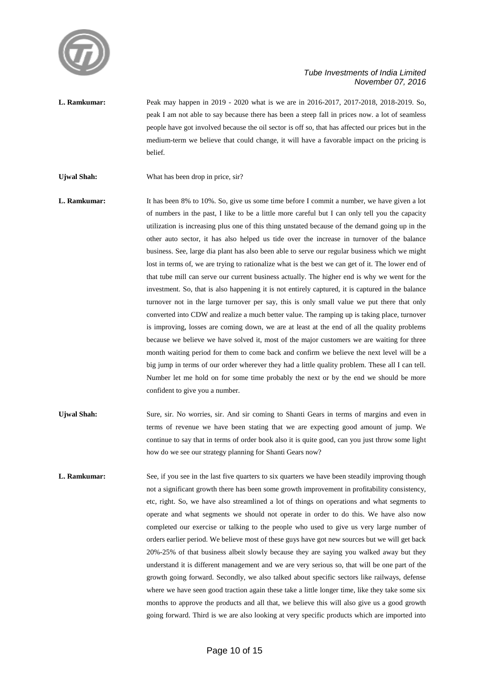

- **L. Ramkumar:** Peak may happen in 2019 2020 what is we are in 2016-2017, 2017-2018, 2018-2019. So, peak I am not able to say because there has been a steep fall in prices now. a lot of seamless people have got involved because the oil sector is off so, that has affected our prices but in the medium-term we believe that could change, it will have a favorable impact on the pricing is belief.
- Ujwal Shah: What has been drop in price, sir?
- **L. Ramkumar:** It has been 8% to 10%. So, give us some time before I commit a number, we have given a lot of numbers in the past, I like to be a little more careful but I can only tell you the capacity utilization is increasing plus one of this thing unstated because of the demand going up in the other auto sector, it has also helped us tide over the increase in turnover of the balance business. See, large dia plant has also been able to serve our regular business which we might lost in terms of, we are trying to rationalize what is the best we can get of it. The lower end of that tube mill can serve our current business actually. The higher end is why we went for the investment. So, that is also happening it is not entirely captured, it is captured in the balance turnover not in the large turnover per say, this is only small value we put there that only converted into CDW and realize a much better value. The ramping up is taking place, turnover is improving, losses are coming down, we are at least at the end of all the quality problems because we believe we have solved it, most of the major customers we are waiting for three month waiting period for them to come back and confirm we believe the next level will be a big jump in terms of our order wherever they had a little quality problem. These all I can tell. Number let me hold on for some time probably the next or by the end we should be more confident to give you a number.
- **Ujwal Shah:** Sure, sir. No worries, sir. And sir coming to Shanti Gears in terms of margins and even in terms of revenue we have been stating that we are expecting good amount of jump. We continue to say that in terms of order book also it is quite good, can you just throw some light how do we see our strategy planning for Shanti Gears now?
- **L. Ramkumar:** See, if you see in the last five quarters to six quarters we have been steadily improving though not a significant growth there has been some growth improvement in profitability consistency, etc, right. So, we have also streamlined a lot of things on operations and what segments to operate and what segments we should not operate in order to do this. We have also now completed our exercise or talking to the people who used to give us very large number of orders earlier period. We believe most of these guys have got new sources but we will get back 20%-25% of that business albeit slowly because they are saying you walked away but they understand it is different management and we are very serious so, that will be one part of the growth going forward. Secondly, we also talked about specific sectors like railways, defense where we have seen good traction again these take a little longer time, like they take some six months to approve the products and all that, we believe this will also give us a good growth going forward. Third is we are also looking at very specific products which are imported into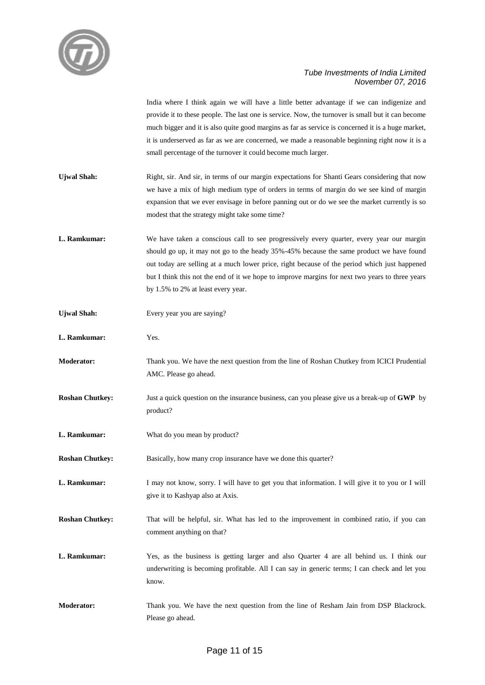

India where I think again we will have a little better advantage if we can indigenize and provide it to these people. The last one is service. Now, the turnover is small but it can become much bigger and it is also quite good margins as far as service is concerned it is a huge market, it is underserved as far as we are concerned, we made a reasonable beginning right now it is a small percentage of the turnover it could become much larger.

- Ujwal Shah: Right, sir. And sir, in terms of our margin expectations for Shanti Gears considering that now we have a mix of high medium type of orders in terms of margin do we see kind of margin expansion that we ever envisage in before panning out or do we see the market currently is so modest that the strategy might take some time?
- **L. Ramkumar:** We have taken a conscious call to see progressively every quarter, every year our margin should go up, it may not go to the heady 35%-45% because the same product we have found out today are selling at a much lower price, right because of the period which just happened but I think this not the end of it we hope to improve margins for next two years to three years by 1.5% to 2% at least every year.
- **Ujwal Shah:** Every year you are saying?
- **L. Ramkumar:** Yes.
- **Moderator:** Thank you. We have the next question from the line of Roshan Chutkey from ICICI Prudential AMC. Please go ahead.
- **Roshan Chutkey:** Just a quick question on the insurance business, can you please give us a break-up of **GWP** by product?
- **L. Ramkumar:** What do you mean by product?
- **Roshan Chutkey:** Basically, how many crop insurance have we done this quarter?
- **L. Ramkumar:** I may not know, sorry. I will have to get you that information. I will give it to you or I will give it to Kashyap also at Axis.
- **Roshan Chutkey:** That will be helpful, sir. What has led to the improvement in combined ratio, if you can comment anything on that?
- **L. Ramkumar:** Yes, as the business is getting larger and also Quarter 4 are all behind us. I think our underwriting is becoming profitable. All I can say in generic terms; I can check and let you know.
- **Moderator:** Thank you. We have the next question from the line of Resham Jain from DSP Blackrock. Please go ahead.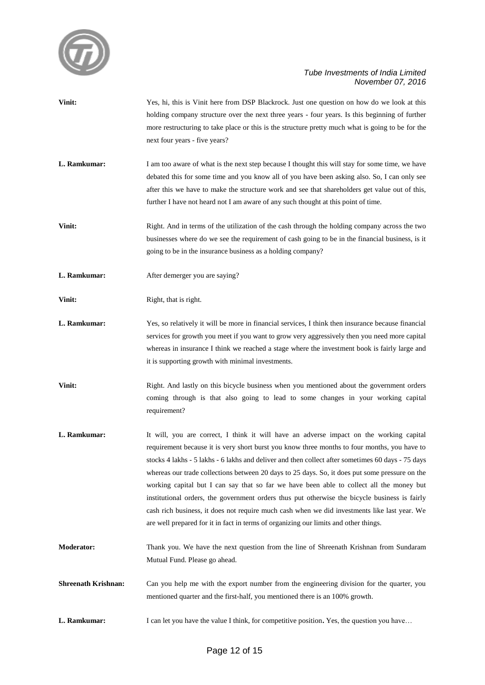

**Vinit:** Yes, hi, this is Vinit here from DSP Blackrock. Just one question on how do we look at this holding company structure over the next three years - four years. Is this beginning of further more restructuring to take place or this is the structure pretty much what is going to be for the next four years - five years? **L. Ramkumar:** I am too aware of what is the next step because I thought this will stay for some time, we have debated this for some time and you know all of you have been asking also. So, I can only see after this we have to make the structure work and see that shareholders get value out of this, further I have not heard not I am aware of any such thought at this point of time. **Vinit:** Right. And in terms of the utilization of the cash through the holding company across the two businesses where do we see the requirement of cash going to be in the financial business, is it going to be in the insurance business as a holding company? **L. Ramkumar:** After demerger you are saying? **Vinit:** Right, that is right. **L. Ramkumar:** Yes, so relatively it will be more in financial services, I think then insurance because financial services for growth you meet if you want to grow very aggressively then you need more capital whereas in insurance I think we reached a stage where the investment book is fairly large and it is supporting growth with minimal investments. **Vinit:** Right. And lastly on this bicycle business when you mentioned about the government orders coming through is that also going to lead to some changes in your working capital requirement? **L. Ramkumar:** It will, you are correct, I think it will have an adverse impact on the working capital requirement because it is very short burst you know three months to four months, you have to stocks 4 lakhs - 5 lakhs - 6 lakhs and deliver and then collect after sometimes 60 days - 75 days whereas our trade collections between 20 days to 25 days. So, it does put some pressure on the working capital but I can say that so far we have been able to collect all the money but institutional orders, the government orders thus put otherwise the bicycle business is fairly cash rich business, it does not require much cash when we did investments like last year. We are well prepared for it in fact in terms of organizing our limits and other things. **Moderator:** Thank you. We have the next question from the line of Shreenath Krishnan from Sundaram Mutual Fund. Please go ahead. **Shreenath Krishnan:** Can you help me with the export number from the engineering division for the quarter, you mentioned quarter and the first-half, you mentioned there is an 100% growth. **L. Ramkumar:** I can let you have the value I think, for competitive position. Yes, the question you have...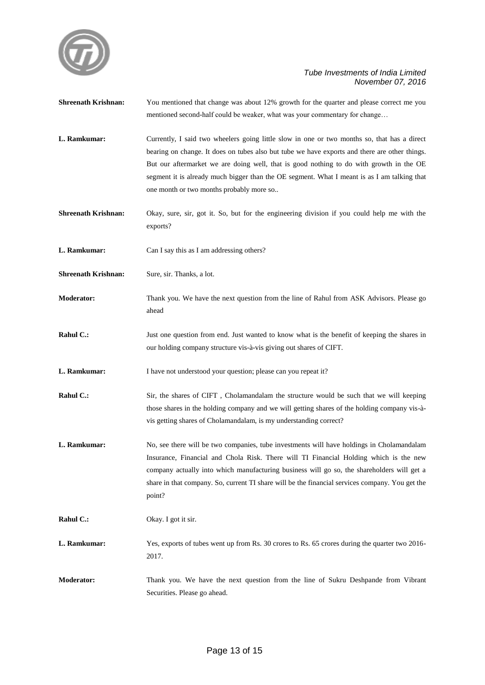

| <b>Shreenath Krishnan:</b> | You mentioned that change was about 12% growth for the quarter and please correct me you<br>mentioned second-half could be weaker, what was your commentary for change                                                                                                                                                                                                                                                             |
|----------------------------|------------------------------------------------------------------------------------------------------------------------------------------------------------------------------------------------------------------------------------------------------------------------------------------------------------------------------------------------------------------------------------------------------------------------------------|
| L. Ramkumar:               | Currently, I said two wheelers going little slow in one or two months so, that has a direct<br>bearing on change. It does on tubes also but tube we have exports and there are other things.<br>But our aftermarket we are doing well, that is good nothing to do with growth in the OE<br>segment it is already much bigger than the OE segment. What I meant is as I am talking that<br>one month or two months probably more so |
| <b>Shreenath Krishnan:</b> | Okay, sure, sir, got it. So, but for the engineering division if you could help me with the<br>exports?                                                                                                                                                                                                                                                                                                                            |
| L. Ramkumar:               | Can I say this as I am addressing others?                                                                                                                                                                                                                                                                                                                                                                                          |
| <b>Shreenath Krishnan:</b> | Sure, sir. Thanks, a lot.                                                                                                                                                                                                                                                                                                                                                                                                          |
| <b>Moderator:</b>          | Thank you. We have the next question from the line of Rahul from ASK Advisors. Please go<br>ahead                                                                                                                                                                                                                                                                                                                                  |
| Rahul C.:                  | Just one question from end. Just wanted to know what is the benefit of keeping the shares in<br>our holding company structure vis-à-vis giving out shares of CIFT.                                                                                                                                                                                                                                                                 |
| L. Ramkumar:               | I have not understood your question; please can you repeat it?                                                                                                                                                                                                                                                                                                                                                                     |
| Rahul C.:                  | Sir, the shares of CIFT, Cholamandalam the structure would be such that we will keeping<br>those shares in the holding company and we will getting shares of the holding company vis-à-<br>vis getting shares of Cholamandalam, is my understanding correct?                                                                                                                                                                       |
| L. Ramkumar:               | No, see there will be two companies, tube investments will have holdings in Cholamandalam<br>Insurance, Financial and Chola Risk. There will TI Financial Holding which is the new<br>company actually into which manufacturing business will go so, the shareholders will get a<br>share in that company. So, current TI share will be the financial services company. You get the<br>point?                                      |
| Rahul C.:                  | Okay. I got it sir.                                                                                                                                                                                                                                                                                                                                                                                                                |
| L. Ramkumar:               | Yes, exports of tubes went up from Rs. 30 crores to Rs. 65 crores during the quarter two 2016-<br>2017.                                                                                                                                                                                                                                                                                                                            |
| Moderator:                 | Thank you. We have the next question from the line of Sukru Deshpande from Vibrant<br>Securities. Please go ahead.                                                                                                                                                                                                                                                                                                                 |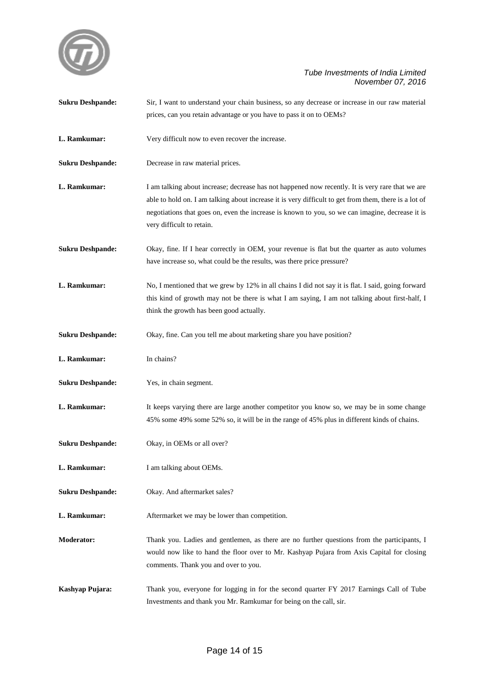

| <b>Sukru Deshpande:</b> | Sir, I want to understand your chain business, so any decrease or increase in our raw material                                                                                                                                                                                                                                            |
|-------------------------|-------------------------------------------------------------------------------------------------------------------------------------------------------------------------------------------------------------------------------------------------------------------------------------------------------------------------------------------|
|                         | prices, can you retain advantage or you have to pass it on to OEMs?                                                                                                                                                                                                                                                                       |
| L. Ramkumar:            | Very difficult now to even recover the increase.                                                                                                                                                                                                                                                                                          |
| <b>Sukru Deshpande:</b> | Decrease in raw material prices.                                                                                                                                                                                                                                                                                                          |
| L. Ramkumar:            | I am talking about increase; decrease has not happened now recently. It is very rare that we are<br>able to hold on. I am talking about increase it is very difficult to get from them, there is a lot of<br>negotiations that goes on, even the increase is known to you, so we can imagine, decrease it is<br>very difficult to retain. |
| <b>Sukru Deshpande:</b> | Okay, fine. If I hear correctly in OEM, your revenue is flat but the quarter as auto volumes<br>have increase so, what could be the results, was there price pressure?                                                                                                                                                                    |
| L. Ramkumar:            | No, I mentioned that we grew by 12% in all chains I did not say it is flat. I said, going forward<br>this kind of growth may not be there is what I am saying, I am not talking about first-half, I<br>think the growth has been good actually.                                                                                           |
| <b>Sukru Deshpande:</b> | Okay, fine. Can you tell me about marketing share you have position?                                                                                                                                                                                                                                                                      |
| L. Ramkumar:            | In chains?                                                                                                                                                                                                                                                                                                                                |
| <b>Sukru Deshpande:</b> | Yes, in chain segment.                                                                                                                                                                                                                                                                                                                    |
| L. Ramkumar:            | It keeps varying there are large another competitor you know so, we may be in some change<br>45% some 49% some 52% so, it will be in the range of 45% plus in different kinds of chains.                                                                                                                                                  |
| <b>Sukru Deshpande:</b> | Okay, in OEMs or all over?                                                                                                                                                                                                                                                                                                                |
| L. Ramkumar:            | I am talking about OEMs.                                                                                                                                                                                                                                                                                                                  |
| <b>Sukru Deshpande:</b> | Okay. And aftermarket sales?                                                                                                                                                                                                                                                                                                              |
| L. Ramkumar:            | Aftermarket we may be lower than competition.                                                                                                                                                                                                                                                                                             |
| <b>Moderator:</b>       | Thank you. Ladies and gentlemen, as there are no further questions from the participants, I<br>would now like to hand the floor over to Mr. Kashyap Pujara from Axis Capital for closing<br>comments. Thank you and over to you.                                                                                                          |
| Kashyap Pujara:         | Thank you, everyone for logging in for the second quarter FY 2017 Earnings Call of Tube<br>Investments and thank you Mr. Ramkumar for being on the call, sir.                                                                                                                                                                             |